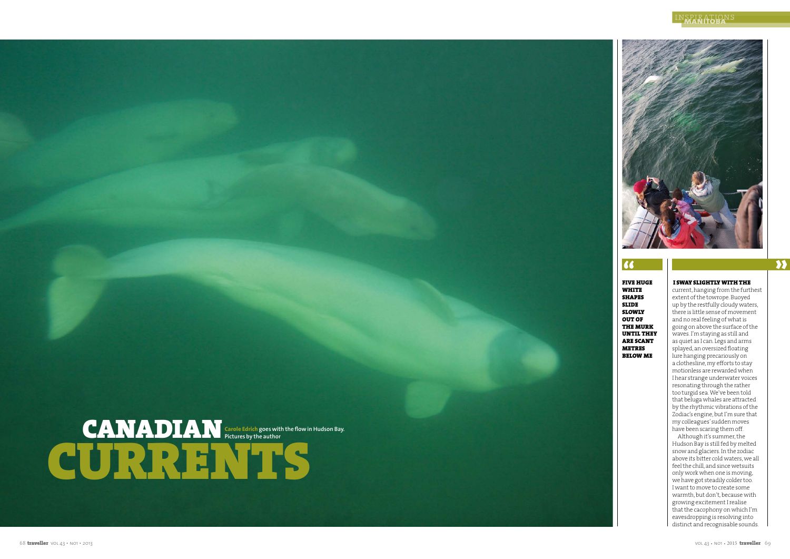FIVE HUGE WHITE SHAPES SLIDE SLOWLY OUT OF THE MURK UNTIL THEY ARE SCANT METRES BELOW ME

## I SWAY SLIGHTLY WITH THE

 $\gamma$ 

current, hanging from the furthest extent of the towrope. Buoyed up by the restfully cloudy waters, there is little sense of movement and no real feeling of what is going on above the surface of the waves. I'm staying as still and as quiet as I can. Legs and arms splayed, an oversized floating lure hanging precariously on a clothesline, my efforts to stay motionless are rewarded when I hear strange underwater voices resonating through the rather too turgid sea. We've been told that beluga whales are attracted by the rhythmic vibrations of the Zodiac's engine, but I'm sure that my colleagues' sudden moves have been scaring them off.

Although it's summer, the Hudson Bay is still fed by melted snow and glaciers. In the zodiac above its bitter cold waters, we all feel the chill, and since wetsuits only work when one is moving, we have got steadily colder too. I want to move to create some warmth, but don't, because with growing excitement I realise that the cacophony on which I'm eavesdropping is resolving into distinct and recognisable sounds.

## inspirations **manitoba**



## $\alpha$